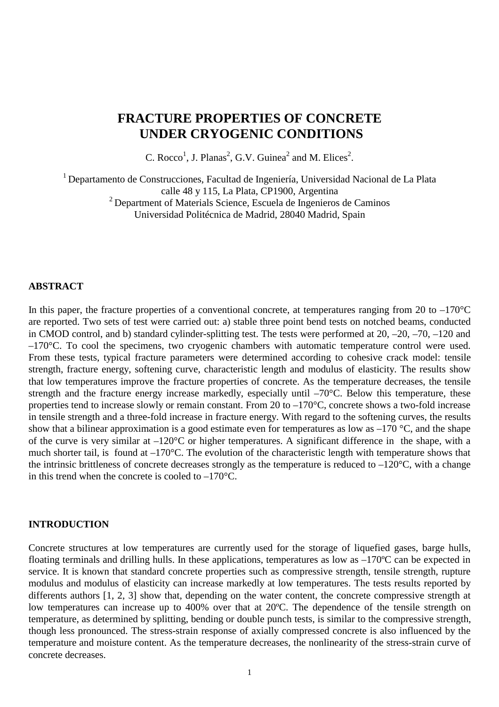# **FRACTURE PROPERTIES OF CONCRETE UNDER CRYOGENIC CONDITIONS**

C. Rocco<sup>1</sup>, J. Planas<sup>2</sup>, G.V. Guinea<sup>2</sup> and M. Elices<sup>2</sup>.

 $1$  Departamento de Construcciones, Facultad de Ingeniería, Universidad Nacional de La Plata calle 48 y 115, La Plata, CP1900, Argentina 2 Department of Materials Science, Escuela de Ingenieros de Caminos Universidad Politécnica de Madrid, 28040 Madrid, Spain

#### **ABSTRACT**

In this paper, the fracture properties of a conventional concrete, at temperatures ranging from 20 to  $-170^{\circ}$ C are reported. Two sets of test were carried out: a) stable three point bend tests on notched beams, conducted in CMOD control, and b) standard cylinder-splitting test. The tests were performed at 20, –20, –70, –120 and  $-170^{\circ}$ C. To cool the specimens, two cryogenic chambers with automatic temperature control were used. From these tests, typical fracture parameters were determined according to cohesive crack model: tensile strength, fracture energy, softening curve, characteristic length and modulus of elasticity. The results show that low temperatures improve the fracture properties of concrete. As the temperature decreases, the tensile strength and the fracture energy increase markedly, especially until  $-70^{\circ}$ C. Below this temperature, these properties tend to increase slowly or remain constant. From 20 to –170°C, concrete shows a two-fold increase in tensile strength and a three-fold increase in fracture energy. With regard to the softening curves, the results show that a bilinear approximation is a good estimate even for temperatures as low as  $-170$  °C, and the shape of the curve is very similar at –120°C or higher temperatures. A significant difference in the shape, with a much shorter tail, is found at –170°C. The evolution of the characteristic length with temperature shows that the intrinsic brittleness of concrete decreases strongly as the temperature is reduced to  $-120^{\circ}$ C, with a change in this trend when the concrete is cooled to –170°C.

#### **INTRODUCTION**

Concrete structures at low temperatures are currently used for the storage of liquefied gases, barge hulls, floating terminals and drilling hulls. In these applications, temperatures as low as  $-170^{\circ}$ C can be expected in service. It is known that standard concrete properties such as compressive strength, tensile strength, rupture modulus and modulus of elasticity can increase markedly at low temperatures. The tests results reported by differents authors [1, 2, 3] show that, depending on the water content, the concrete compressive strength at low temperatures can increase up to 400% over that at 20ºC. The dependence of the tensile strength on temperature, as determined by splitting, bending or double punch tests, is similar to the compressive strength, though less pronounced. The stress-strain response of axially compressed concrete is also influenced by the temperature and moisture content. As the temperature decreases, the nonlinearity of the stress-strain curve of concrete decreases.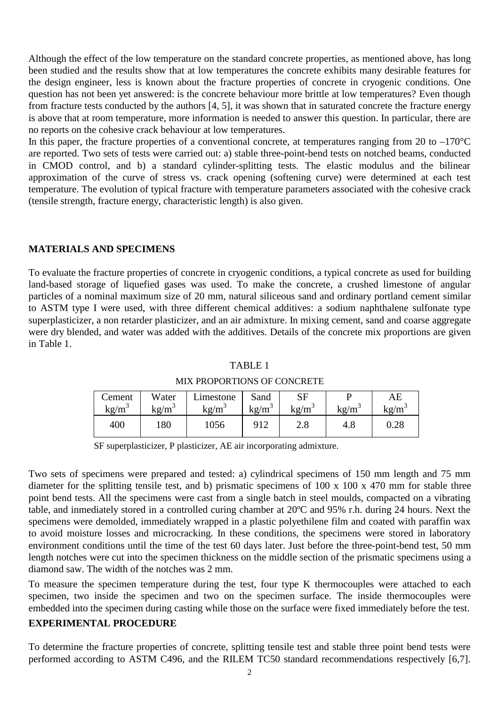Although the effect of the low temperature on the standard concrete properties, as mentioned above, has long been studied and the results show that at low temperatures the concrete exhibits many desirable features for the design engineer, less is known about the fracture properties of concrete in cryogenic conditions. One question has not been yet answered: is the concrete behaviour more brittle at low temperatures? Even though from fracture tests conducted by the authors [4, 5], it was shown that in saturated concrete the fracture energy is above that at room temperature, more information is needed to answer this question. In particular, there are no reports on the cohesive crack behaviour at low temperatures.

In this paper, the fracture properties of a conventional concrete, at temperatures ranging from 20 to  $-170^{\circ}$ C are reported. Two sets of tests were carried out: a) stable three-point-bend tests on notched beams, conducted in CMOD control, and b) a standard cylinder-splitting tests. The elastic modulus and the bilinear approximation of the curve of stress vs. crack opening (softening curve) were determined at each test temperature. The evolution of typical fracture with temperature parameters associated with the cohesive crack (tensile strength, fracture energy, characteristic length) is also given.

### **MATERIALS AND SPECIMENS**

To evaluate the fracture properties of concrete in cryogenic conditions, a typical concrete as used for building land-based storage of liquefied gases was used. To make the concrete, a crushed limestone of angular particles of a nominal maximum size of 20 mm, natural siliceous sand and ordinary portland cement similar to ASTM type I were used, with three different chemical additives: a sodium naphthalene sulfonate type superplasticizer, a non retarder plasticizer, and an air admixture. In mixing cement, sand and coarse aggregate were dry blended, and water was added with the additives. Details of the concrete mix proportions are given in Table 1.

| Cement            | Water | Limestone       | Sand              | SF                | kg/m | AE         |
|-------------------|-------|-----------------|-------------------|-------------------|------|------------|
| kg/m <sup>3</sup> | kg/m  | $\text{kg/m}^3$ | kg/m <sup>3</sup> | kg/m <sup>3</sup> |      | kg/m       |
| 400               | 180   | 1056            | 912               | 2.8               | 4.8  | $\rm 0.28$ |

TABLE 1 MIX PROPORTIONS OF CONCRETE

SF superplasticizer, P plasticizer, AE air incorporating admixture.

Two sets of specimens were prepared and tested: a) cylindrical specimens of 150 mm length and 75 mm diameter for the splitting tensile test, and b) prismatic specimens of 100 x 100 x 470 mm for stable three point bend tests. All the specimens were cast from a single batch in steel moulds, compacted on a vibrating table, and inmediately stored in a controlled curing chamber at 20ºC and 95% r.h. during 24 hours. Next the specimens were demolded, immediately wrapped in a plastic polyethilene film and coated with paraffin wax to avoid moisture losses and microcracking. In these conditions, the specimens were stored in laboratory environment conditions until the time of the test 60 days later. Just before the three-point-bend test, 50 mm length notches were cut into the specimen thickness on the middle section of the prismatic specimens using a diamond saw. The width of the notches was 2 mm.

To measure the specimen temperature during the test, four type K thermocouples were attached to each specimen, two inside the specimen and two on the specimen surface. The inside thermocouples were embedded into the specimen during casting while those on the surface were fixed immediately before the test.

### **EXPERIMENTAL PROCEDURE**

To determine the fracture properties of concrete, splitting tensile test and stable three point bend tests were performed according to ASTM C496, and the RILEM TC50 standard recommendations respectively [6,7].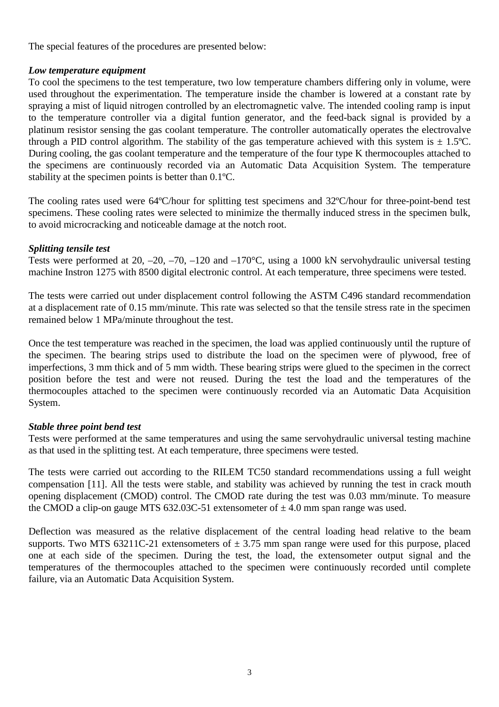The special features of the procedures are presented below:

# *Low temperature equipment*

To cool the specimens to the test temperature, two low temperature chambers differing only in volume, were used throughout the experimentation. The temperature inside the chamber is lowered at a constant rate by spraying a mist of liquid nitrogen controlled by an electromagnetic valve. The intended cooling ramp is input to the temperature controller via a digital funtion generator, and the feed-back signal is provided by a platinum resistor sensing the gas coolant temperature. The controller automatically operates the electrovalve through a PID control algorithm. The stability of the gas temperature achieved with this system is  $\pm$  1.5°C. During cooling, the gas coolant temperature and the temperature of the four type K thermocouples attached to the specimens are continuously recorded via an Automatic Data Acquisition System. The temperature stability at the specimen points is better than 0.1ºC.

The cooling rates used were 64ºC/hour for splitting test specimens and 32ºC/hour for three-point-bend test specimens. These cooling rates were selected to minimize the thermally induced stress in the specimen bulk, to avoid microcracking and noticeable damage at the notch root.

# *Splitting tensile test*

Tests were performed at 20, –20, –70, –120 and –170°C, using a 1000 kN servohydraulic universal testing machine Instron 1275 with 8500 digital electronic control. At each temperature, three specimens were tested.

The tests were carried out under displacement control following the ASTM C496 standard recommendation at a displacement rate of 0.15 mm/minute. This rate was selected so that the tensile stress rate in the specimen remained below 1 MPa/minute throughout the test.

Once the test temperature was reached in the specimen, the load was applied continuously until the rupture of the specimen. The bearing strips used to distribute the load on the specimen were of plywood, free of imperfections, 3 mm thick and of 5 mm width. These bearing strips were glued to the specimen in the correct position before the test and were not reused. During the test the load and the temperatures of the thermocouples attached to the specimen were continuously recorded via an Automatic Data Acquisition System.

## *Stable three point bend test*

Tests were performed at the same temperatures and using the same servohydraulic universal testing machine as that used in the splitting test. At each temperature, three specimens were tested.

The tests were carried out according to the RILEM TC50 standard recommendations ussing a full weight compensation [11]. All the tests were stable, and stability was achieved by running the test in crack mouth opening displacement (CMOD) control. The CMOD rate during the test was 0.03 mm/minute. To measure the CMOD a clip-on gauge MTS 632.03C-51 extensometer of  $\pm$  4.0 mm span range was used.

Deflection was measured as the relative displacement of the central loading head relative to the beam supports. Two MTS 63211C-21 extensometers of  $\pm$  3.75 mm span range were used for this purpose, placed one at each side of the specimen. During the test, the load, the extensometer output signal and the temperatures of the thermocouples attached to the specimen were continuously recorded until complete failure, via an Automatic Data Acquisition System.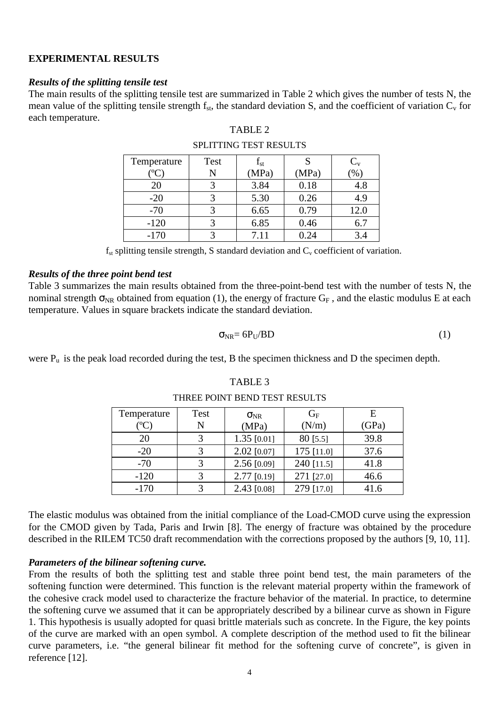### **EXPERIMENTAL RESULTS**

#### *Results of the splitting tensile test*

The main results of the splitting tensile test are summarized in Table 2 which gives the number of tests N, the mean value of the splitting tensile strength  $f_{st}$ , the standard deviation S, and the coefficient of variation  $C_v$  for each temperature.

#### TABLE 2

| Temperature | Test | $\rm I_{st}$ |       | $C_{v}$       |
|-------------|------|--------------|-------|---------------|
|             |      | (MPa)        | (MPa) | $\frac{1}{2}$ |
| 20          |      | 3.84         | 0.18  | 4.8           |
| $-20$       |      | 5.30         | 0.26  | 4.9           |
| $-70$       |      | 6.65         | 0.79  | 12.0          |
| $-120$      |      | 6.85         | 0.46  | 6.7           |
| $-170$      |      | 7.11         | 0.24  | 3.4           |

#### SPLITTING TEST RESULTS

 $f_{st}$  splitting tensile strength, S standard deviation and  $C_v$  coefficient of variation.

#### *Results of the three point bend test*

Table 3 summarizes the main results obtained from the three-point-bend test with the number of tests N, the nominal strength  $\sigma_{NR}$  obtained from equation (1), the energy of fracture  $G_F$ , and the elastic modulus E at each temperature. Values in square brackets indicate the standard deviation.

$$
\sigma_{NR} = 6P_U / BD \tag{1}
$$

were  $P_u$  is the peak load recorded during the test, B the specimen thickness and D the specimen depth.

| Temperature                       | Test | $\sigma_{\rm NR}$ | $G_F$      | E     |
|-----------------------------------|------|-------------------|------------|-------|
| ${}^{\prime\mathrm{o}}\mathrm{C}$ | N    | (MPa)             | (N/m)      | (GPa) |
| 20                                | 3    | $1.35$ [0.01]     | $80$ [5.5] | 39.8  |
| $-20$                             | 3    | $2.02$ [0.07]     | 175 [11.0] | 37.6  |
| $-70$                             |      | $2.56$ [0.09]     | 240 [11.5] | 41.8  |
| $-120$                            | 3    | 2.77 [0.19]       | 271 [27.0] | 46.6  |
| $-170$                            | 3    | 2.43 [0.08]       | 279 [17.0] | 41.6  |

# TABLE 3 THREE POINT BEND TEST RESULTS

The elastic modulus was obtained from the initial compliance of the Load-CMOD curve using the expression for the CMOD given by Tada, Paris and Irwin [8]. The energy of fracture was obtained by the procedure described in the RILEM TC50 draft recommendation with the corrections proposed by the authors [9, 10, 11].

### *Parameters of the bilinear softening curve.*

From the results of both the splitting test and stable three point bend test, the main parameters of the softening function were determined. This function is the relevant material property within the framework of the cohesive crack model used to characterize the fracture behavior of the material. In practice, to determine the softening curve we assumed that it can be appropriately described by a bilinear curve as shown in Figure 1. This hypothesis is usually adopted for quasi brittle materials such as concrete. In the Figure, the key points of the curve are marked with an open symbol. A complete description of the method used to fit the bilinear curve parameters, i.e. "the general bilinear fit method for the softening curve of concrete", is given in reference [12].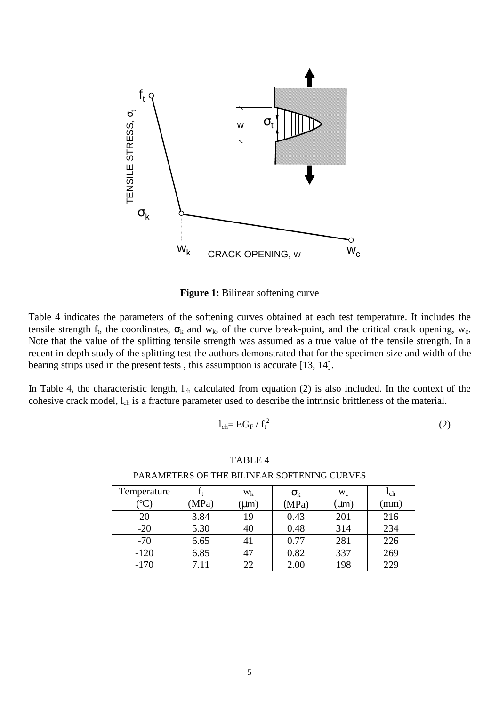

**Figure 1:** Bilinear softening curve

Table 4 indicates the parameters of the softening curves obtained at each test temperature. It includes the tensile strength f<sub>t</sub>, the coordinates,  $\sigma_k$  and  $w_k$ , of the curve break-point, and the critical crack opening,  $w_c$ . Note that the value of the splitting tensile strength was assumed as a true value of the tensile strength. In a recent in-depth study of the splitting test the authors demonstrated that for the specimen size and width of the bearing strips used in the present tests , this assumption is accurate [13, 14].

In Table 4, the characteristic length,  $l_{ch}$  calculated from equation (2) is also included. In the context of the cohesive crack model, l<sub>ch</sub> is a fracture parameter used to describe the intrinsic brittleness of the material.

$$
l_{ch} = EG_F / f_t^2
$$
 (2)

#### TABLE 4

| Temperature   |       | W <sub>k</sub> | $\sigma_{k}$ | $W_c$     | 1 <sub>ch</sub> |
|---------------|-------|----------------|--------------|-----------|-----------------|
| $^{\circ}$ C, | (MPa) | $(\mu m)$      | (MPa)        | $(\mu m)$ | (mm)            |
| 20            | 3.84  | 19             | 0.43         | 201       | 216             |
| $-20$         | 5.30  | 40             | 0.48         | 314       | 234             |
| $-70$         | 6.65  | 41             | 0.77         | 281       | 226             |
| $-120$        | 6.85  | 47             | 0.82         | 337       | 269             |
| $-170$        | 7.11  | 22             | 2.00         | 198       | 229             |

PARAMETERS OF THE BILINEAR SOFTENING CURVES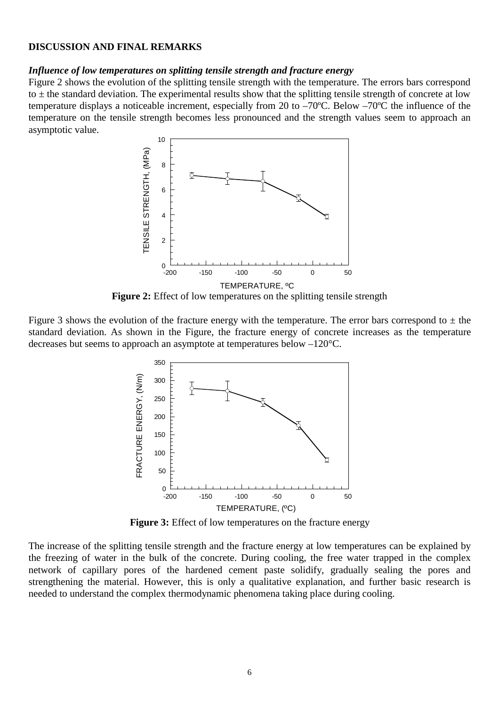#### **DISCUSSION AND FINAL REMARKS**

### *Influence of low temperatures on splitting tensile strength and fracture energy*

Figure 2 shows the evolution of the splitting tensile strength with the temperature. The errors bars correspond to  $\pm$  the standard deviation. The experimental results show that the splitting tensile strength of concrete at low temperature displays a noticeable increment, especially from 20 to –70ºC. Below –70ºC the influence of the temperature on the tensile strength becomes less pronounced and the strength values seem to approach an asymptotic value.



**Figure 2:** Effect of low temperatures on the splitting tensile strength

Figure 3 shows the evolution of the fracture energy with the temperature. The error bars correspond to  $\pm$  the standard deviation. As shown in the Figure, the fracture energy of concrete increases as the temperature decreases but seems to approach an asymptote at temperatures below –120°C.



**Figure 3:** Effect of low temperatures on the fracture energy

The increase of the splitting tensile strength and the fracture energy at low temperatures can be explained by the freezing of water in the bulk of the concrete. During cooling, the free water trapped in the complex network of capillary pores of the hardened cement paste solidify, gradually sealing the pores and strengthening the material. However, this is only a qualitative explanation, and further basic research is needed to understand the complex thermodynamic phenomena taking place during cooling.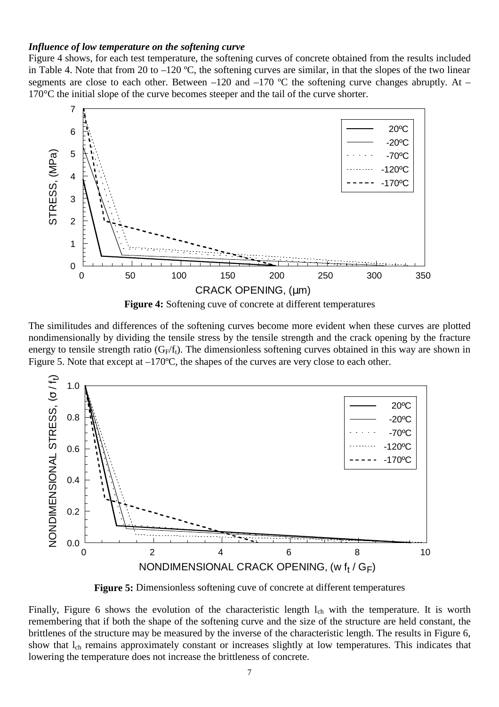#### *Influence of low temperature on the softening curve*

Figure 4 shows, for each test temperature, the softening curves of concrete obtained from the results included in Table 4. Note that from 20 to  $-120$  °C, the softening curves are similar, in that the slopes of the two linear segments are close to each other. Between –120 and –170  $^{\circ}$ C the softening curve changes abruptly. At – 170°C the initial slope of the curve becomes steeper and the tail of the curve shorter.



**Figure 4:** Softening cuve of concrete at different temperatures

The similitudes and differences of the softening curves become more evident when these curves are plotted nondimensionally by dividing the tensile stress by the tensile strength and the crack opening by the fracture energy to tensile strength ratio ( $G_F/f_t$ ). The dimensionless softening curves obtained in this way are shown in Figure 5. Note that except at  $-170^{\circ}$ C, the shapes of the curves are very close to each other.



**Figure 5:** Dimensionless softening cuve of concrete at different temperatures

Finally, Figure 6 shows the evolution of the characteristic length  $l_{ch}$  with the temperature. It is worth remembering that if both the shape of the softening curve and the size of the structure are held constant, the brittlenes of the structure may be measured by the inverse of the characteristic length. The results in Figure 6, show that l<sub>ch</sub> remains approximately constant or increases slightly at low temperatures. This indicates that lowering the temperature does not increase the brittleness of concrete.